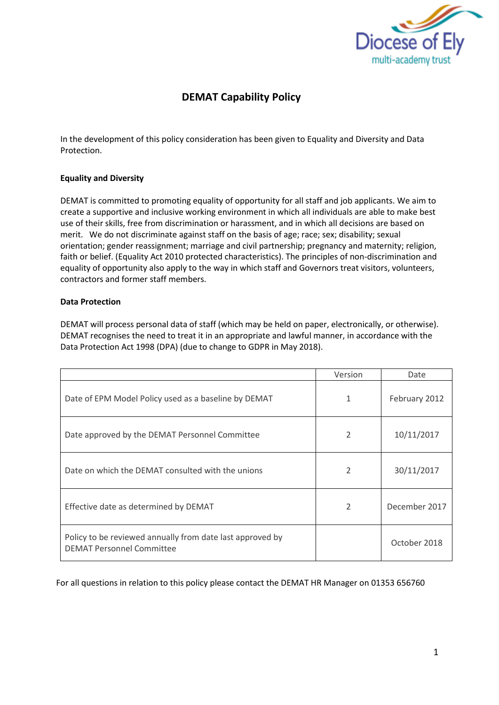

# **DEMAT Capability Policy**

In the development of this policy consideration has been given to Equality and Diversity and Data Protection.

# **Equality and Diversity**

DEMAT is committed to promoting equality of opportunity for all staff and job applicants. We aim to create a supportive and inclusive working environment in which all individuals are able to make best use of their skills, free from discrimination or harassment, and in which all decisions are based on merit. We do not discriminate against staff on the basis of age; race; sex; disability; sexual orientation; gender reassignment; marriage and civil partnership; pregnancy and maternity; religion, faith or belief. (Equality Act 2010 protected characteristics). The principles of non-discrimination and equality of opportunity also apply to the way in which staff and Governors treat visitors, volunteers, contractors and former staff members.

# **Data Protection**

DEMAT will process personal data of staff (which may be held on paper, electronically, or otherwise). DEMAT recognises the need to treat it in an appropriate and lawful manner, in accordance with the Data Protection Act 1998 (DPA) (due to change to GDPR in May 2018).

|                                                                                               | Version        | Date          |
|-----------------------------------------------------------------------------------------------|----------------|---------------|
| Date of EPM Model Policy used as a baseline by DEMAT                                          | 1              | February 2012 |
| Date approved by the DEMAT Personnel Committee                                                | 2              | 10/11/2017    |
| Date on which the DEMAT consulted with the unions                                             | $\mathfrak{D}$ | 30/11/2017    |
| Effective date as determined by DEMAT                                                         | 2              | December 2017 |
| Policy to be reviewed annually from date last approved by<br><b>DEMAT Personnel Committee</b> |                | October 2018  |

For all questions in relation to this policy please contact the DEMAT HR Manager on 01353 656760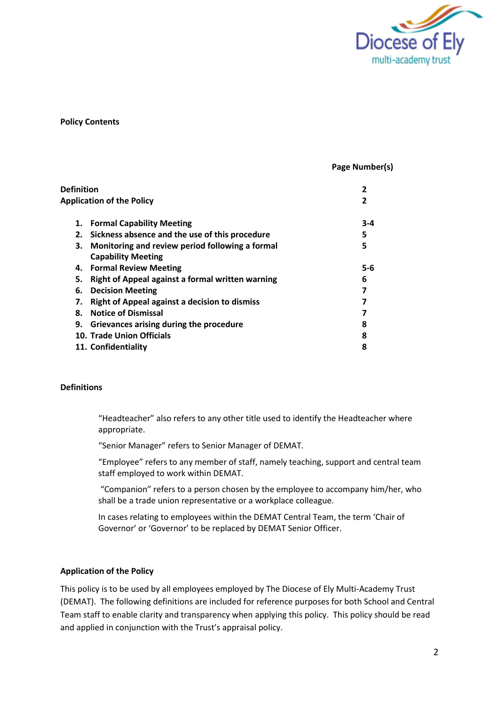

#### **Policy Contents**

#### **Page Number(s)**

| Definition |                                                      |         |
|------------|------------------------------------------------------|---------|
|            | <b>Application of the Policy</b>                     |         |
| 1.         | <b>Formal Capability Meeting</b>                     | $3 - 4$ |
| 2.         | Sickness absence and the use of this procedure       | 5       |
| з.         | Monitoring and review period following a formal      | 5       |
|            | <b>Capability Meeting</b>                            |         |
|            | 4. Formal Review Meeting                             | $5 - 6$ |
| 5.         | Right of Appeal against a formal written warning     | 6       |
| 6.         | <b>Decision Meeting</b>                              |         |
| 7.         | <b>Right of Appeal against a decision to dismiss</b> |         |
| 8.         | <b>Notice of Dismissal</b>                           |         |
| 9.         | Grievances arising during the procedure              | 8       |
|            | <b>10. Trade Union Officials</b>                     | 8       |
|            | 11. Confidentiality                                  | 8       |

# **Definitions**

"Headteacher" also refers to any other title used to identify the Headteacher where appropriate.

"Senior Manager" refers to Senior Manager of DEMAT.

"Employee" refers to any member of staff, namely teaching, support and central team staff employed to work within DEMAT.

"Companion" refers to a person chosen by the employee to accompany him/her, who shall be a trade union representative or a workplace colleague.

In cases relating to employees within the DEMAT Central Team, the term 'Chair of Governor' or 'Governor' to be replaced by DEMAT Senior Officer.

#### **Application of the Policy**

This policy is to be used by all employees employed by The Diocese of Ely Multi-Academy Trust (DEMAT). The following definitions are included for reference purposes for both School and Central Team staff to enable clarity and transparency when applying this policy. This policy should be read and applied in conjunction with the Trust's appraisal policy.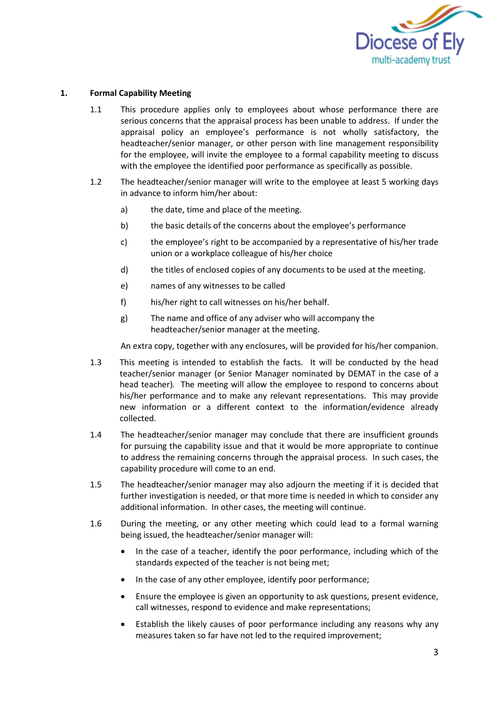

# **1. Formal Capability Meeting**

- 1.1 This procedure applies only to employees about whose performance there are serious concerns that the appraisal process has been unable to address. If under the appraisal policy an employee's performance is not wholly satisfactory, the headteacher/senior manager, or other person with line management responsibility for the employee, will invite the employee to a formal capability meeting to discuss with the employee the identified poor performance as specifically as possible.
- 1.2 The headteacher/senior manager will write to the employee at least 5 working days in advance to inform him/her about:
	- a) the date, time and place of the meeting.
	- b) the basic details of the concerns about the employee's performance
	- c) the employee's right to be accompanied by a representative of his/her trade union or a workplace colleague of his/her choice
	- d) the titles of enclosed copies of any documents to be used at the meeting.
	- e) names of any witnesses to be called
	- f) his/her right to call witnesses on his/her behalf.
	- g) The name and office of any adviser who will accompany the headteacher/senior manager at the meeting.

An extra copy, together with any enclosures, will be provided for his/her companion.

- 1.3 This meeting is intended to establish the facts. It will be conducted by the head teacher/senior manager (or Senior Manager nominated by DEMAT in the case of a head teacher)*.* The meeting will allow the employee to respond to concerns about his/her performance and to make any relevant representations. This may provide new information or a different context to the information/evidence already collected.
- 1.4 The headteacher/senior manager may conclude that there are insufficient grounds for pursuing the capability issue and that it would be more appropriate to continue to address the remaining concerns through the appraisal process. In such cases, the capability procedure will come to an end.
- 1.5 The headteacher/senior manager may also adjourn the meeting if it is decided that further investigation is needed, or that more time is needed in which to consider any additional information. In other cases, the meeting will continue.
- 1.6 During the meeting, or any other meeting which could lead to a formal warning being issued, the headteacher/senior manager will:
	- In the case of a teacher, identify the poor performance, including which of the standards expected of the teacher is not being met;
	- In the case of any other employee, identify poor performance;
	- Ensure the employee is given an opportunity to ask questions, present evidence, call witnesses, respond to evidence and make representations;
	- Establish the likely causes of poor performance including any reasons why any measures taken so far have not led to the required improvement;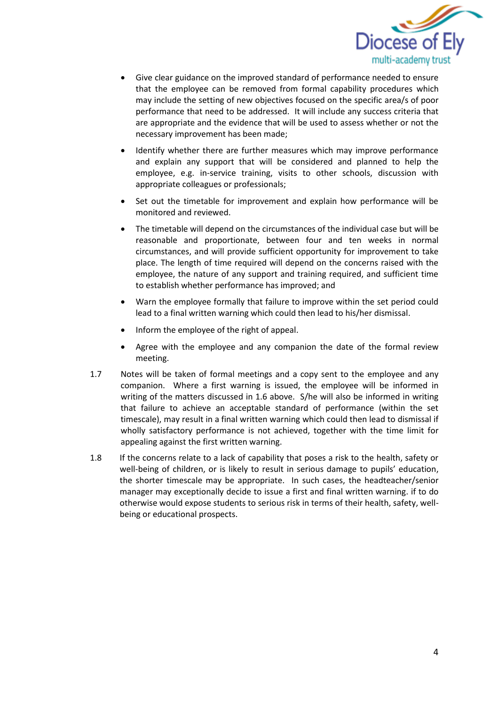

- Give clear guidance on the improved standard of performance needed to ensure that the employee can be removed from formal capability procedures which may include the setting of new objectives focused on the specific area/s of poor performance that need to be addressed. It will include any success criteria that are appropriate and the evidence that will be used to assess whether or not the necessary improvement has been made;
- Identify whether there are further measures which may improve performance and explain any support that will be considered and planned to help the employee, e.g. in-service training, visits to other schools, discussion with appropriate colleagues or professionals;
- Set out the timetable for improvement and explain how performance will be monitored and reviewed.
- The timetable will depend on the circumstances of the individual case but will be reasonable and proportionate, between four and ten weeks in normal circumstances, and will provide sufficient opportunity for improvement to take place. The length of time required will depend on the concerns raised with the employee, the nature of any support and training required, and sufficient time to establish whether performance has improved; and
- Warn the employee formally that failure to improve within the set period could lead to a final written warning which could then lead to his/her dismissal.
- Inform the employee of the right of appeal.
- Agree with the employee and any companion the date of the formal review meeting.
- 1.7 Notes will be taken of formal meetings and a copy sent to the employee and any companion. Where a first warning is issued, the employee will be informed in writing of the matters discussed in 1.6 above. S/he will also be informed in writing that failure to achieve an acceptable standard of performance (within the set timescale), may result in a final written warning which could then lead to dismissal if wholly satisfactory performance is not achieved, together with the time limit for appealing against the first written warning.
- 1.8 If the concerns relate to a lack of capability that poses a risk to the health, safety or well-being of children, or is likely to result in serious damage to pupils' education, the shorter timescale may be appropriate. In such cases, the headteacher/senior manager may exceptionally decide to issue a first and final written warning. if to do otherwise would expose students to serious risk in terms of their health, safety, wellbeing or educational prospects.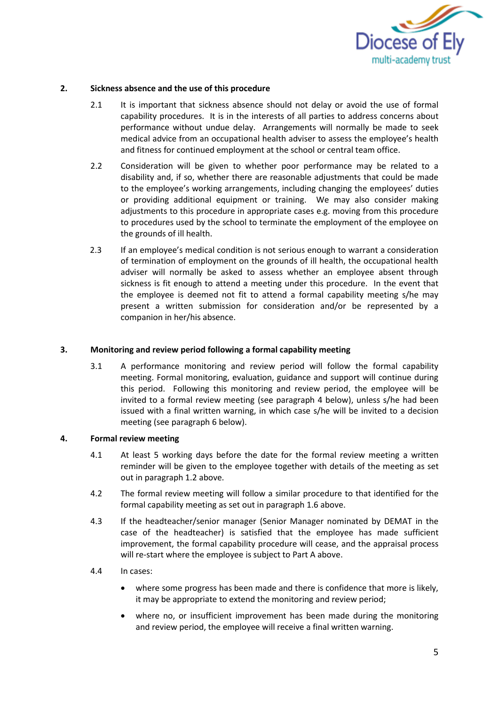

#### **2. Sickness absence and the use of this procedure**

- 2.1 It is important that sickness absence should not delay or avoid the use of formal capability procedures. It is in the interests of all parties to address concerns about performance without undue delay. Arrangements will normally be made to seek medical advice from an occupational health adviser to assess the employee's health and fitness for continued employment at the school or central team office.
- 2.2 Consideration will be given to whether poor performance may be related to a disability and, if so, whether there are reasonable adjustments that could be made to the employee's working arrangements, including changing the employees' duties or providing additional equipment or training. We may also consider making adjustments to this procedure in appropriate cases e.g. moving from this procedure to procedures used by the school to terminate the employment of the employee on the grounds of ill health.
- 2.3 If an employee's medical condition is not serious enough to warrant a consideration of termination of employment on the grounds of ill health, the occupational health adviser will normally be asked to assess whether an employee absent through sickness is fit enough to attend a meeting under this procedure. In the event that the employee is deemed not fit to attend a formal capability meeting s/he may present a written submission for consideration and/or be represented by a companion in her/his absence.

#### **3. Monitoring and review period following a formal capability meeting**

3.1 A performance monitoring and review period will follow the formal capability meeting. Formal monitoring, evaluation, guidance and support will continue during this period. Following this monitoring and review period, the employee will be invited to a formal review meeting (see paragraph 4 below), unless s/he had been issued with a final written warning, in which case s/he will be invited to a decision meeting (see paragraph 6 below).

# **4. Formal review meeting**

- 4.1 At least 5 working days before the date for the formal review meeting a written reminder will be given to the employee together with details of the meeting as set out in paragraph 1.2 above.
- 4.2 The formal review meeting will follow a similar procedure to that identified for the formal capability meeting as set out in paragraph 1.6 above.
- 4.3 If the headteacher/senior manager (Senior Manager nominated by DEMAT in the case of the headteacher) is satisfied that the employee has made sufficient improvement, the formal capability procedure will cease, and the appraisal process will re-start where the employee is subject to Part A above.
- 4.4 In cases:
	- where some progress has been made and there is confidence that more is likely, it may be appropriate to extend the monitoring and review period;
	- where no, or insufficient improvement has been made during the monitoring and review period, the employee will receive a final written warning.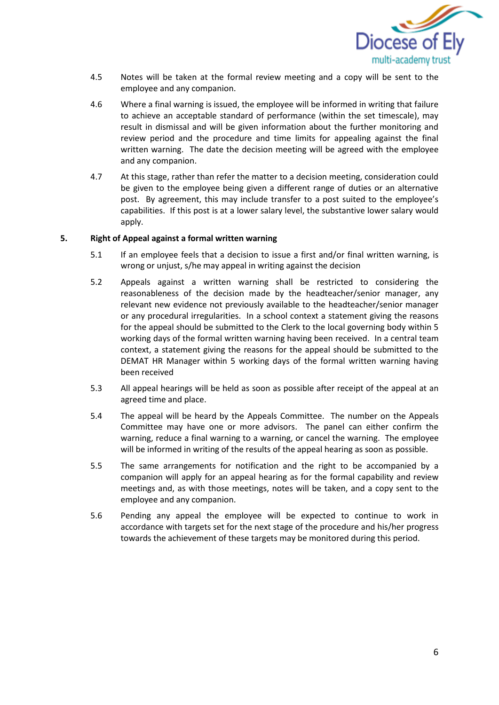

- 4.5 Notes will be taken at the formal review meeting and a copy will be sent to the employee and any companion.
- 4.6 Where a final warning is issued, the employee will be informed in writing that failure to achieve an acceptable standard of performance (within the set timescale), may result in dismissal and will be given information about the further monitoring and review period and the procedure and time limits for appealing against the final written warning. The date the decision meeting will be agreed with the employee and any companion.
- 4.7 At this stage, rather than refer the matter to a decision meeting, consideration could be given to the employee being given a different range of duties or an alternative post. By agreement, this may include transfer to a post suited to the employee's capabilities. If this post is at a lower salary level, the substantive lower salary would apply.

# **5. Right of Appeal against a formal written warning**

- 5.1 If an employee feels that a decision to issue a first and/or final written warning, is wrong or unjust, s/he may appeal in writing against the decision
- 5.2 Appeals against a written warning shall be restricted to considering the reasonableness of the decision made by the headteacher/senior manager, any relevant new evidence not previously available to the headteacher/senior manager or any procedural irregularities. In a school context a statement giving the reasons for the appeal should be submitted to the Clerk to the local governing body within 5 working days of the formal written warning having been received. In a central team context, a statement giving the reasons for the appeal should be submitted to the DEMAT HR Manager within 5 working days of the formal written warning having been received
- 5.3 All appeal hearings will be held as soon as possible after receipt of the appeal at an agreed time and place.
- 5.4 The appeal will be heard by the Appeals Committee. The number on the Appeals Committee may have one or more advisors. The panel can either confirm the warning, reduce a final warning to a warning, or cancel the warning. The employee will be informed in writing of the results of the appeal hearing as soon as possible.
- 5.5 The same arrangements for notification and the right to be accompanied by a companion will apply for an appeal hearing as for the formal capability and review meetings and, as with those meetings, notes will be taken, and a copy sent to the employee and any companion.
- 5.6 Pending any appeal the employee will be expected to continue to work in accordance with targets set for the next stage of the procedure and his/her progress towards the achievement of these targets may be monitored during this period.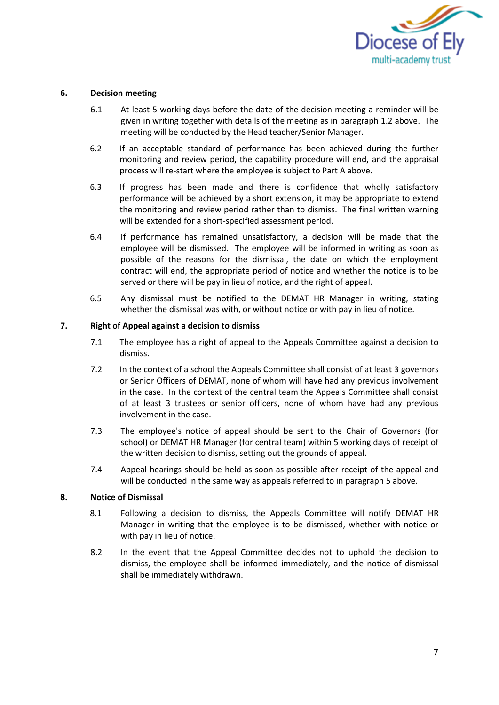

## **6. Decision meeting**

- 6.1 At least 5 working days before the date of the decision meeting a reminder will be given in writing together with details of the meeting as in paragraph 1.2 above. The meeting will be conducted by the Head teacher/Senior Manager.
- 6.2 If an acceptable standard of performance has been achieved during the further monitoring and review period, the capability procedure will end, and the appraisal process will re-start where the employee is subject to Part A above.
- 6.3 If progress has been made and there is confidence that wholly satisfactory performance will be achieved by a short extension, it may be appropriate to extend the monitoring and review period rather than to dismiss. The final written warning will be extended for a short-specified assessment period.
- 6.4 If performance has remained unsatisfactory, a decision will be made that the employee will be dismissed. The employee will be informed in writing as soon as possible of the reasons for the dismissal, the date on which the employment contract will end, the appropriate period of notice and whether the notice is to be served or there will be pay in lieu of notice, and the right of appeal.
- 6.5 Any dismissal must be notified to the DEMAT HR Manager in writing, stating whether the dismissal was with, or without notice or with pay in lieu of notice.

# **7. Right of Appeal against a decision to dismiss**

- 7.1 The employee has a right of appeal to the Appeals Committee against a decision to dismiss.
- 7.2 In the context of a school the Appeals Committee shall consist of at least 3 governors or Senior Officers of DEMAT, none of whom will have had any previous involvement in the case. In the context of the central team the Appeals Committee shall consist of at least 3 trustees or senior officers, none of whom have had any previous involvement in the case.
- 7.3 The employee's notice of appeal should be sent to the Chair of Governors (for school) or DEMAT HR Manager (for central team) within 5 working days of receipt of the written decision to dismiss, setting out the grounds of appeal.
- 7.4 Appeal hearings should be held as soon as possible after receipt of the appeal and will be conducted in the same way as appeals referred to in paragraph 5 above.

### **8. Notice of Dismissal**

- 8.1 Following a decision to dismiss, the Appeals Committee will notify DEMAT HR Manager in writing that the employee is to be dismissed, whether with notice or with pay in lieu of notice.
- 8.2 In the event that the Appeal Committee decides not to uphold the decision to dismiss, the employee shall be informed immediately, and the notice of dismissal shall be immediately withdrawn.